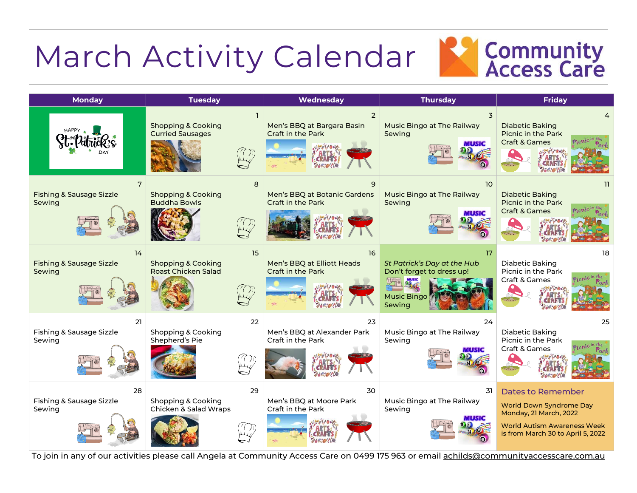## March Activity Calendar



| <b>Monday</b>                                       | <b>Tuesday</b>                                                    | Wednesday                                                                          | <b>Thursday</b>                                                                                | <b>Friday</b>                                                                                                                                                   |
|-----------------------------------------------------|-------------------------------------------------------------------|------------------------------------------------------------------------------------|------------------------------------------------------------------------------------------------|-----------------------------------------------------------------------------------------------------------------------------------------------------------------|
|                                                     | <b>Shopping &amp; Cooking</b><br><b>Curried Sausages</b>          | $\overline{2}$<br>Men's BBQ at Bargara Basin<br>Craft in the Park<br>$N_F$ . $R_0$ | $\overline{3}$<br>Music Bingo at The Railway<br>Sewing<br>MUSIC                                | <b>Diabetic Baking</b><br>Picnic in the Park<br><b>Craft &amp; Games</b><br>$B(s)$ . So $s$                                                                     |
| 7<br><b>Fishing &amp; Sausage Sizzle</b><br>Sewing  | 8<br><b>Shopping &amp; Cooking</b><br><b>Buddha Bowls</b>         | 9<br>Men's BBQ at Botanic Gardens<br>Craft in the Park                             | 10 <sup>2</sup><br>Music Bingo at The Railway<br>Sewing<br>MUSIC                               | 11.<br><b>Diabetic Baking</b><br><b>Picnic in the Park</b><br><b>Craft &amp; Games</b><br>$N_{B}$ $\sim$ $R_{B}$                                                |
| 14<br><b>Fishing &amp; Sausage Sizzle</b><br>Sewing | 15<br><b>Shopping &amp; Cooking</b><br><b>Roast Chicken Salad</b> | 16<br>Men's BBQ at Elliott Heads<br>Craft in the Park                              | 17<br>St Patrick's Day at the Hub<br>Don't forget to dress up!<br><b>Music Bingo</b><br>Sewing | 18<br><b>Diabetic Baking</b><br>Picnic in the Park<br>Craft & Games                                                                                             |
| 21<br>Fishing & Sausage Sizzle<br>Sewing            | 22<br>Shopping & Cooking<br>Shepherd's Pie                        | 23<br>Men's BBQ at Alexander Park<br>Craft in the Park                             | 24<br>Music Bingo at The Railway<br>Sewing<br>шмс                                              | 25<br>Diabetic Baking<br>Picnic in the Park<br>Craft & Games                                                                                                    |
| 28<br>Fishing & Sausage Sizzle<br>Sewing            | 29<br>Shopping & Cooking<br>Chicken & Salad Wraps                 | 30<br>Men's BBQ at Moore Park<br>Craft in the Park                                 | 31<br>Music Bingo at The Railway<br>Sewing                                                     | <b>Dates to Remember</b><br><b>World Down Syndrome Day</b><br>Monday, 21 March, 2022<br><b>World Autism Awareness Week</b><br>is from March 30 to April 5, 2022 |

To join in any of our activities please call Angela at Community Access Care on 0499 175 963 or email [achilds@communityaccesscare.com.au](mailto:achilds@communityaccesscare.com.au)